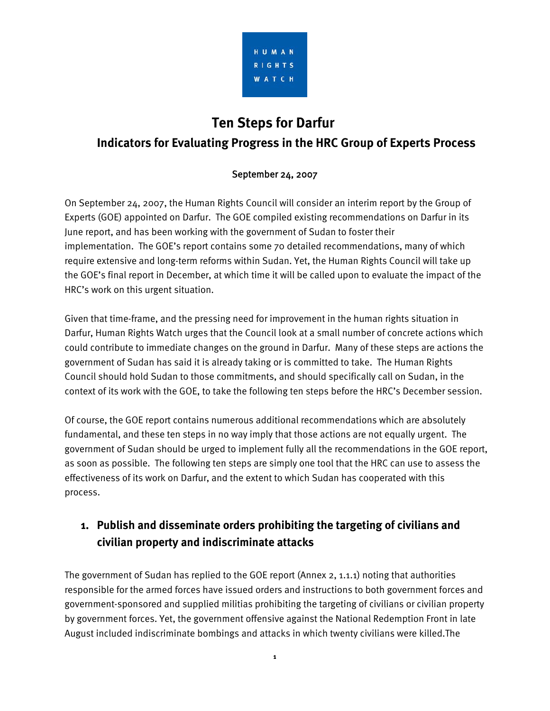

# **Ten Steps for Darfur**

#### **Indicators for Evaluating Progress in the HRC Group of Experts Process**

#### September 24, 2007

On September 24, 2007, the Human Rights Council will consider an interim report by the Group of Experts (GOE) appointed on Darfur. The GOE compiled existing recommendations on Darfur in its June report, and has been working with the government of Sudan to foster their implementation. The GOE's report contains some 70 detailed recommendations, many of which require extensive and long-term reforms within Sudan. Yet, the Human Rights Council will take up the GOE's final report in December, at which time it will be called upon to evaluate the impact of the HRC's work on this urgent situation.

Given that time-frame, and the pressing need for improvement in the human rights situation in Darfur, Human Rights Watch urges that the Council look at a small number of concrete actions which could contribute to immediate changes on the ground in Darfur. Many of these steps are actions the government of Sudan has said it is already taking or is committed to take. The Human Rights Council should hold Sudan to those commitments, and should specifically call on Sudan, in the context of its work with the GOE, to take the following ten steps before the HRC's December session.

Of course, the GOE report contains numerous additional recommendations which are absolutely fundamental, and these ten steps in no way imply that those actions are not equally urgent. The government of Sudan should be urged to implement fully all the recommendations in the GOE report, as soon as possible. The following ten steps are simply one tool that the HRC can use to assess the effectiveness of its work on Darfur, and the extent to which Sudan has cooperated with this process.

#### **1. Publish and disseminate orders prohibiting the targeting of civilians and civilian property and indiscriminate attacks**

The government of Sudan has replied to the GOE report (Annex 2, 1.1.1) noting that authorities responsible for the armed forces have issued orders and instructions to both government forces and government-sponsored and supplied militias prohibiting the targeting of civilians or civilian property by government forces. Yet, the government offensive against the National Redemption Front in late August included indiscriminate bombings and attacks in which twenty civilians were killed.The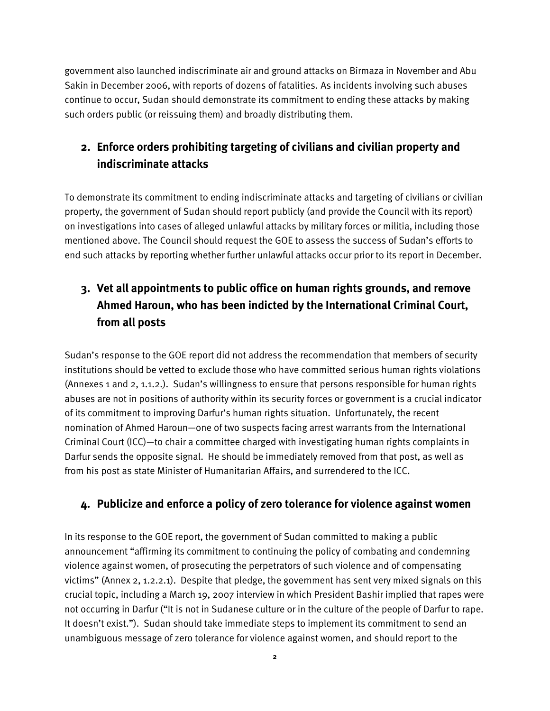government also launched indiscriminate air and ground attacks on Birmaza in November and Abu Sakin in December 2006, with reports of dozens of fatalities. As incidents involving such abuses continue to occur, Sudan should demonstrate its commitment to ending these attacks by making such orders public (or reissuing them) and broadly distributing them.

## **2. Enforce orders prohibiting targeting of civilians and civilian property and indiscriminate attacks**

To demonstrate its commitment to ending indiscriminate attacks and targeting of civilians or civilian property, the government of Sudan should report publicly (and provide the Council with its report) on investigations into cases of alleged unlawful attacks by military forces or militia, including those mentioned above. The Council should request the GOE to assess the success of Sudan's efforts to end such attacks by reporting whether further unlawful attacks occur prior to its report in December.

# **3. Vet all appointments to public office on human rights grounds, and remove Ahmed Haroun, who has been indicted by the International Criminal Court, from all posts**

Sudan's response to the GOE report did not address the recommendation that members of security institutions should be vetted to exclude those who have committed serious human rights violations (Annexes 1 and 2, 1.1.2.). Sudan's willingness to ensure that persons responsible for human rights abuses are not in positions of authority within its security forces or government is a crucial indicator of its commitment to improving Darfur's human rights situation. Unfortunately, the recent nomination of Ahmed Haroun—one of two suspects facing arrest warrants from the International Criminal Court (ICC)—to chair a committee charged with investigating human rights complaints in Darfur sends the opposite signal. He should be immediately removed from that post, as well as from his post as state Minister of Humanitarian Affairs, and surrendered to the ICC.

#### **4. Publicize and enforce a policy of zero tolerance for violence against women**

In its response to the GOE report, the government of Sudan committed to making a public announcement "affirming its commitment to continuing the policy of combating and condemning violence against women, of prosecuting the perpetrators of such violence and of compensating victims" (Annex 2, 1.2.2.1). Despite that pledge, the government has sent very mixed signals on this crucial topic, including a March 19, 2007 interview in which President Bashir implied that rapes were not occurring in Darfur ("It is not in Sudanese culture or in the culture of the people of Darfur to rape. It doesn't exist."). Sudan should take immediate steps to implement its commitment to send an unambiguous message of zero tolerance for violence against women, and should report to the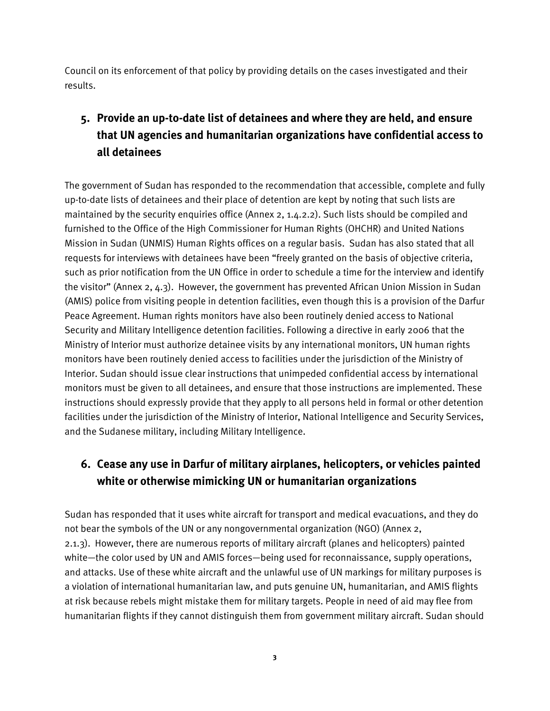Council on its enforcement of that policy by providing details on the cases investigated and their results.

# **5. Provide an up-to-date list of detainees and where they are held, and ensure that UN agencies and humanitarian organizations have confidential access to all detainees**

The government of Sudan has responded to the recommendation that accessible, complete and fully up-to-date lists of detainees and their place of detention are kept by noting that such lists are maintained by the security enquiries office (Annex 2, 1.4.2.2). Such lists should be compiled and furnished to the Office of the High Commissioner for Human Rights (OHCHR) and United Nations Mission in Sudan (UNMIS) Human Rights offices on a regular basis. Sudan has also stated that all requests for interviews with detainees have been "freely granted on the basis of objective criteria, such as prior notification from the UN Office in order to schedule a time for the interview and identify the visitor" (Annex 2, 4.3). However, the government has prevented African Union Mission in Sudan (AMIS) police from visiting people in detention facilities, even though this is a provision of the Darfur Peace Agreement. Human rights monitors have also been routinely denied access to National Security and Military Intelligence detention facilities. Following a directive in early 2006 that the Ministry of Interior must authorize detainee visits by any international monitors, UN human rights monitors have been routinely denied access to facilities under the jurisdiction of the Ministry of Interior. Sudan should issue clear instructions that unimpeded confidential access by international monitors must be given to all detainees, and ensure that those instructions are implemented. These instructions should expressly provide that they apply to all persons held in formal or other detention facilities under the jurisdiction of the Ministry of Interior, National Intelligence and Security Services, and the Sudanese military, including Military Intelligence.

## **6. Cease any use in Darfur of military airplanes, helicopters, or vehicles painted white or otherwise mimicking UN or humanitarian organizations**

Sudan has responded that it uses white aircraft for transport and medical evacuations, and they do not bear the symbols of the UN or any nongovernmental organization (NGO) (Annex 2, 2.1.3). However, there are numerous reports of military aircraft (planes and helicopters) painted white—the color used by UN and AMIS forces—being used for reconnaissance, supply operations, and attacks. Use of these white aircraft and the unlawful use of UN markings for military purposes is a violation of international humanitarian law, and puts genuine UN, humanitarian, and AMIS flights at risk because rebels might mistake them for military targets. People in need of aid may flee from humanitarian flights if they cannot distinguish them from government military aircraft. Sudan should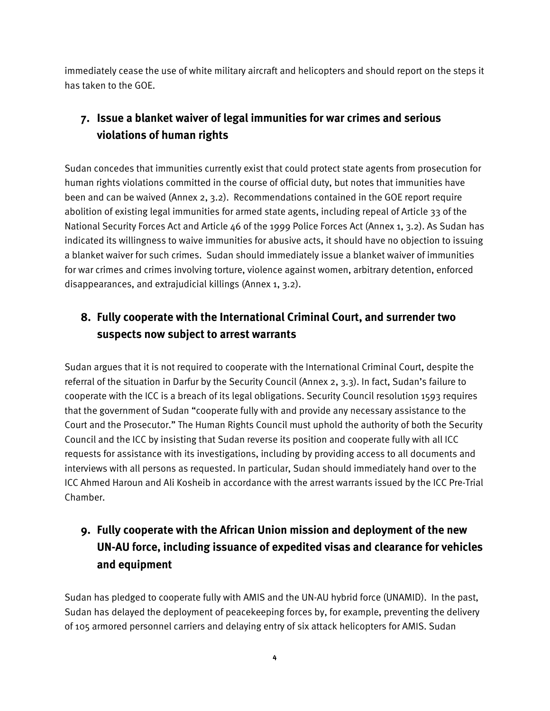immediately cease the use of white military aircraft and helicopters and should report on the steps it has taken to the GOE.

# **7. Issue a blanket waiver of legal immunities for war crimes and serious violations of human rights**

Sudan concedes that immunities currently exist that could protect state agents from prosecution for human rights violations committed in the course of official duty, but notes that immunities have been and can be waived (Annex 2, 3.2). Recommendations contained in the GOE report require abolition of existing legal immunities for armed state agents, including repeal of Article 33 of the National Security Forces Act and Article 46 of the 1999 Police Forces Act (Annex 1, 3.2). As Sudan has indicated its willingness to waive immunities for abusive acts, it should have no objection to issuing a blanket waiver for such crimes. Sudan should immediately issue a blanket waiver of immunities for war crimes and crimes involving torture, violence against women, arbitrary detention, enforced disappearances, and extrajudicial killings (Annex 1, 3.2).

#### **8. Fully cooperate with the International Criminal Court, and surrender two suspects now subject to arrest warrants**

Sudan argues that it is not required to cooperate with the International Criminal Court, despite the referral of the situation in Darfur by the Security Council (Annex 2, 3.3). In fact, Sudan's failure to cooperate with the ICC is a breach of its legal obligations. Security Council resolution 1593 requires that the government of Sudan "cooperate fully with and provide any necessary assistance to the Court and the Prosecutor." The Human Rights Council must uphold the authority of both the Security Council and the ICC by insisting that Sudan reverse its position and cooperate fully with all ICC requests for assistance with its investigations, including by providing access to all documents and interviews with all persons as requested. In particular, Sudan should immediately hand over to the ICC Ahmed Haroun and Ali Kosheib in accordance with the arrest warrants issued by the ICC Pre-Trial Chamber.

# **9. Fully cooperate with the African Union mission and deployment of the new UN-AU force, including issuance of expedited visas and clearance for vehicles and equipment**

Sudan has pledged to cooperate fully with AMIS and the UN-AU hybrid force (UNAMID). In the past, Sudan has delayed the deployment of peacekeeping forces by, for example, preventing the delivery of 105 armored personnel carriers and delaying entry of six attack helicopters for AMIS. Sudan